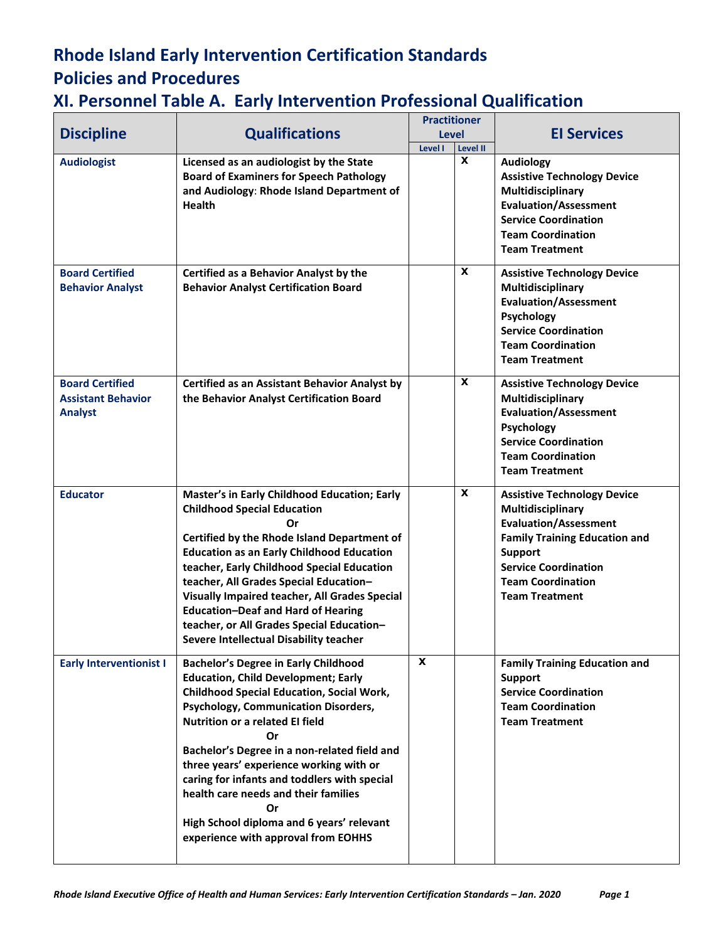| <b>Discipline</b>                                                     | <b>Qualifications</b>                                                                                                                                                                                                                                                                                                                                                                                                                                                                                              | <b>Practitioner</b><br><b>Level</b> |                                | <b>El Services</b>                                                                                                                                                                                                                    |
|-----------------------------------------------------------------------|--------------------------------------------------------------------------------------------------------------------------------------------------------------------------------------------------------------------------------------------------------------------------------------------------------------------------------------------------------------------------------------------------------------------------------------------------------------------------------------------------------------------|-------------------------------------|--------------------------------|---------------------------------------------------------------------------------------------------------------------------------------------------------------------------------------------------------------------------------------|
| <b>Audiologist</b>                                                    | Licensed as an audiologist by the State<br><b>Board of Examiners for Speech Pathology</b><br>and Audiology: Rhode Island Department of<br><b>Health</b>                                                                                                                                                                                                                                                                                                                                                            | Level I                             | <b>Level II</b><br>$\mathbf x$ | <b>Audiology</b><br><b>Assistive Technology Device</b><br>Multidisciplinary<br><b>Evaluation/Assessment</b><br><b>Service Coordination</b><br><b>Team Coordination</b><br><b>Team Treatment</b>                                       |
| <b>Board Certified</b><br><b>Behavior Analyst</b>                     | Certified as a Behavior Analyst by the<br><b>Behavior Analyst Certification Board</b>                                                                                                                                                                                                                                                                                                                                                                                                                              |                                     | X                              | <b>Assistive Technology Device</b><br>Multidisciplinary<br><b>Evaluation/Assessment</b><br>Psychology<br><b>Service Coordination</b><br><b>Team Coordination</b><br><b>Team Treatment</b>                                             |
| <b>Board Certified</b><br><b>Assistant Behavior</b><br><b>Analyst</b> | <b>Certified as an Assistant Behavior Analyst by</b><br>the Behavior Analyst Certification Board                                                                                                                                                                                                                                                                                                                                                                                                                   |                                     | X                              | <b>Assistive Technology Device</b><br>Multidisciplinary<br><b>Evaluation/Assessment</b><br>Psychology<br><b>Service Coordination</b><br><b>Team Coordination</b><br><b>Team Treatment</b>                                             |
| <b>Educator</b>                                                       | Master's in Early Childhood Education; Early<br><b>Childhood Special Education</b><br>Or<br>Certified by the Rhode Island Department of<br><b>Education as an Early Childhood Education</b><br>teacher, Early Childhood Special Education<br>teacher, All Grades Special Education-<br><b>Visually Impaired teacher, All Grades Special</b><br><b>Education-Deaf and Hard of Hearing</b><br>teacher, or All Grades Special Education-<br>Severe Intellectual Disability teacher                                    |                                     | X                              | <b>Assistive Technology Device</b><br>Multidisciplinary<br><b>Evaluation/Assessment</b><br><b>Family Training Education and</b><br><b>Support</b><br><b>Service Coordination</b><br><b>Team Coordination</b><br><b>Team Treatment</b> |
| <b>Early Interventionist I</b>                                        | <b>Bachelor's Degree in Early Childhood</b><br><b>Education, Child Development; Early</b><br><b>Childhood Special Education, Social Work,</b><br><b>Psychology, Communication Disorders,</b><br>Nutrition or a related EI field<br>Or<br>Bachelor's Degree in a non-related field and<br>three years' experience working with or<br>caring for infants and toddlers with special<br>health care needs and their families<br>Or<br>High School diploma and 6 years' relevant<br>experience with approval from EOHHS | X                                   |                                | <b>Family Training Education and</b><br><b>Support</b><br><b>Service Coordination</b><br><b>Team Coordination</b><br><b>Team Treatment</b>                                                                                            |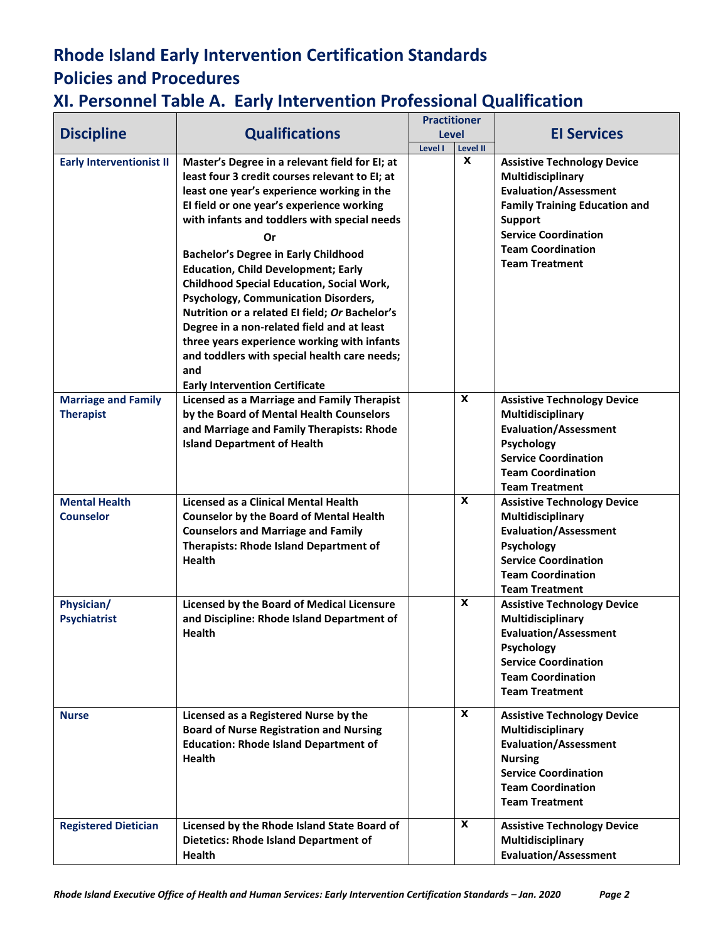| <b>Discipline</b>                              | <b>Qualifications</b>                                                                                                                                                                                                                                                                                                                                                                                                                                                                                                                                                                                                                                                                     | <b>Practitioner</b><br><b>Level</b> |              | <b>El Services</b>                                                                                                                                                                                                                    |
|------------------------------------------------|-------------------------------------------------------------------------------------------------------------------------------------------------------------------------------------------------------------------------------------------------------------------------------------------------------------------------------------------------------------------------------------------------------------------------------------------------------------------------------------------------------------------------------------------------------------------------------------------------------------------------------------------------------------------------------------------|-------------------------------------|--------------|---------------------------------------------------------------------------------------------------------------------------------------------------------------------------------------------------------------------------------------|
|                                                |                                                                                                                                                                                                                                                                                                                                                                                                                                                                                                                                                                                                                                                                                           | Level I                             | Level II     |                                                                                                                                                                                                                                       |
| <b>Early Interventionist II</b>                | Master's Degree in a relevant field for EI; at<br>least four 3 credit courses relevant to EI; at<br>least one year's experience working in the<br>El field or one year's experience working<br>with infants and toddlers with special needs<br>Or<br><b>Bachelor's Degree in Early Childhood</b><br><b>Education, Child Development; Early</b><br><b>Childhood Special Education, Social Work,</b><br>Psychology, Communication Disorders,<br>Nutrition or a related EI field; Or Bachelor's<br>Degree in a non-related field and at least<br>three years experience working with infants<br>and toddlers with special health care needs;<br>and<br><b>Early Intervention Certificate</b> |                                     | $\pmb{\chi}$ | <b>Assistive Technology Device</b><br>Multidisciplinary<br><b>Evaluation/Assessment</b><br><b>Family Training Education and</b><br><b>Support</b><br><b>Service Coordination</b><br><b>Team Coordination</b><br><b>Team Treatment</b> |
| <b>Marriage and Family</b><br><b>Therapist</b> | <b>Licensed as a Marriage and Family Therapist</b><br>by the Board of Mental Health Counselors<br>and Marriage and Family Therapists: Rhode<br><b>Island Department of Health</b>                                                                                                                                                                                                                                                                                                                                                                                                                                                                                                         |                                     | $\mathbf{x}$ | <b>Assistive Technology Device</b><br>Multidisciplinary<br><b>Evaluation/Assessment</b><br>Psychology<br><b>Service Coordination</b><br><b>Team Coordination</b><br><b>Team Treatment</b>                                             |
| <b>Mental Health</b><br><b>Counselor</b>       | <b>Licensed as a Clinical Mental Health</b><br><b>Counselor by the Board of Mental Health</b><br><b>Counselors and Marriage and Family</b><br><b>Therapists: Rhode Island Department of</b><br><b>Health</b>                                                                                                                                                                                                                                                                                                                                                                                                                                                                              |                                     | $\mathbf{x}$ | <b>Assistive Technology Device</b><br>Multidisciplinary<br><b>Evaluation/Assessment</b><br>Psychology<br><b>Service Coordination</b><br><b>Team Coordination</b><br><b>Team Treatment</b>                                             |
| Physician/<br><b>Psychiatrist</b>              | <b>Licensed by the Board of Medical Licensure</b><br>and Discipline: Rhode Island Department of<br><b>Health</b>                                                                                                                                                                                                                                                                                                                                                                                                                                                                                                                                                                          |                                     | $\mathbf{x}$ | <b>Assistive Technology Device</b><br>Multidisciplinary<br><b>Evaluation/Assessment</b><br>Psychology<br><b>Service Coordination</b><br><b>Team Coordination</b><br><b>Team Treatment</b>                                             |
| <b>Nurse</b>                                   | Licensed as a Registered Nurse by the<br><b>Board of Nurse Registration and Nursing</b><br><b>Education: Rhode Island Department of</b><br><b>Health</b>                                                                                                                                                                                                                                                                                                                                                                                                                                                                                                                                  |                                     | X            | <b>Assistive Technology Device</b><br>Multidisciplinary<br><b>Evaluation/Assessment</b><br><b>Nursing</b><br><b>Service Coordination</b><br><b>Team Coordination</b><br><b>Team Treatment</b>                                         |
| <b>Registered Dietician</b>                    | Licensed by the Rhode Island State Board of<br><b>Dietetics: Rhode Island Department of</b><br><b>Health</b>                                                                                                                                                                                                                                                                                                                                                                                                                                                                                                                                                                              |                                     | $\mathbf{x}$ | <b>Assistive Technology Device</b><br>Multidisciplinary<br><b>Evaluation/Assessment</b>                                                                                                                                               |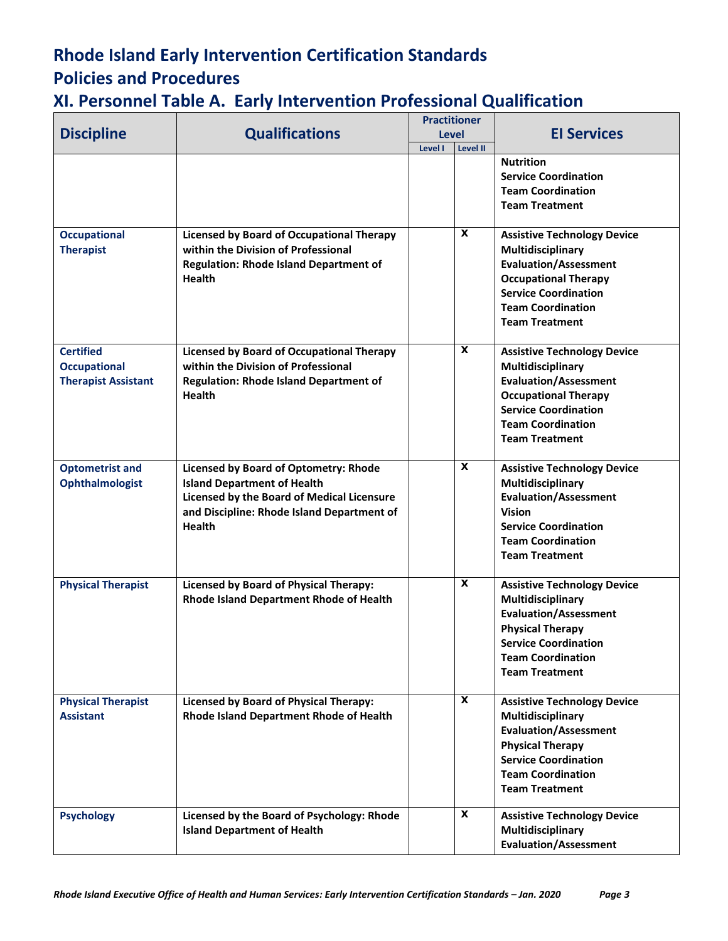| <b>Discipline</b>                                                     | <b>Qualifications</b>                                                                                                                                                                           | <b>Practitioner</b><br><b>Level</b><br>Level II<br>Level I |                           | <b>El Services</b>                                                                                                                                                                                         |
|-----------------------------------------------------------------------|-------------------------------------------------------------------------------------------------------------------------------------------------------------------------------------------------|------------------------------------------------------------|---------------------------|------------------------------------------------------------------------------------------------------------------------------------------------------------------------------------------------------------|
|                                                                       |                                                                                                                                                                                                 |                                                            |                           | <b>Nutrition</b><br><b>Service Coordination</b><br><b>Team Coordination</b><br><b>Team Treatment</b>                                                                                                       |
| <b>Occupational</b><br><b>Therapist</b>                               | <b>Licensed by Board of Occupational Therapy</b><br>within the Division of Professional<br><b>Regulation: Rhode Island Department of</b><br><b>Health</b>                                       |                                                            | X                         | <b>Assistive Technology Device</b><br>Multidisciplinary<br><b>Evaluation/Assessment</b><br><b>Occupational Therapy</b><br><b>Service Coordination</b><br><b>Team Coordination</b><br><b>Team Treatment</b> |
| <b>Certified</b><br><b>Occupational</b><br><b>Therapist Assistant</b> | <b>Licensed by Board of Occupational Therapy</b><br>within the Division of Professional<br><b>Regulation: Rhode Island Department of</b><br><b>Health</b>                                       |                                                            | $\boldsymbol{\mathsf{x}}$ | <b>Assistive Technology Device</b><br>Multidisciplinary<br><b>Evaluation/Assessment</b><br><b>Occupational Therapy</b><br><b>Service Coordination</b><br><b>Team Coordination</b><br><b>Team Treatment</b> |
| <b>Optometrist and</b><br>Ophthalmologist                             | Licensed by Board of Optometry: Rhode<br><b>Island Department of Health</b><br><b>Licensed by the Board of Medical Licensure</b><br>and Discipline: Rhode Island Department of<br><b>Health</b> |                                                            | X                         | <b>Assistive Technology Device</b><br>Multidisciplinary<br><b>Evaluation/Assessment</b><br><b>Vision</b><br><b>Service Coordination</b><br><b>Team Coordination</b><br><b>Team Treatment</b>               |
| <b>Physical Therapist</b>                                             | <b>Licensed by Board of Physical Therapy:</b><br>Rhode Island Department Rhode of Health                                                                                                        |                                                            | X                         | <b>Assistive Technology Device</b><br>Multidisciplinary<br><b>Evaluation/Assessment</b><br><b>Physical Therapy</b><br><b>Service Coordination</b><br><b>Team Coordination</b><br><b>Team Treatment</b>     |
| <b>Physical Therapist</b><br><b>Assistant</b>                         | <b>Licensed by Board of Physical Therapy:</b><br>Rhode Island Department Rhode of Health                                                                                                        |                                                            | X                         | <b>Assistive Technology Device</b><br>Multidisciplinary<br><b>Evaluation/Assessment</b><br><b>Physical Therapy</b><br><b>Service Coordination</b><br><b>Team Coordination</b><br><b>Team Treatment</b>     |
| <b>Psychology</b>                                                     | Licensed by the Board of Psychology: Rhode<br><b>Island Department of Health</b>                                                                                                                |                                                            | X                         | <b>Assistive Technology Device</b><br>Multidisciplinary<br><b>Evaluation/Assessment</b>                                                                                                                    |